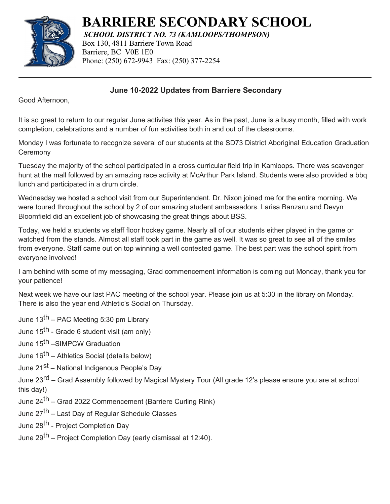

**BARRIERE SECONDARY SCHOOL**

*SCHOOL DISTRICT NO. 73 (KAMLOOPS/THOMPSON)*

Box 130, 4811 Barriere Town Road Barriere, BC V0E 1E0 Phone: (250) 672-9943 Fax: (250) 377-2254

## **June 10-2022 Updates from Barriere Secondary**

Good Afternoon,

It is so great to return to our regular June activites this year. As in the past, June is a busy month, filled with work completion, celebrations and a number of fun activities both in and out of the classrooms.

Monday I was fortunate to recognize several of our students at the SD73 District Aboriginal Education Graduation **Ceremony** 

Tuesday the majority of the school participated in a cross curricular field trip in Kamloops. There was scavenger hunt at the mall followed by an amazing race activity at McArthur Park Island. Students were also provided a bbq lunch and participated in a drum circle.

Wednesday we hosted a school visit from our Superintendent. Dr. Nixon joined me for the entire morning. We were toured throughout the school by 2 of our amazing student ambassadors. Larisa Banzaru and Devyn Bloomfield did an excellent job of showcasing the great things about BSS.

Today, we held a students vs staff floor hockey game. Nearly all of our students either played in the game or watched from the stands. Almost all staff took part in the game as well. It was so great to see all of the smiles from everyone. Staff came out on top winning a well contested game. The best part was the school spirit from everyone involved!

I am behind with some of my messaging, Grad commencement information is coming out Monday, thank you for your patience!

Next week we have our last PAC meeting of the school year. Please join us at 5:30 in the library on Monday. There is also the year end Athletic's Social on Thursday.

June 13th – PAC Meeting 5:30 pm Library

June 15<sup>th</sup> - Grade 6 student visit (am only)

June 15<sup>th</sup> –SIMPCW Graduation

- June 16<sup>th</sup> Athletics Social (details below)
- June 21<sup>st</sup> National Indigenous People's Day

June 23<sup>rd</sup> – Grad Assembly followed by Magical Mystery Tour (All grade 12's please ensure you are at school this day!)

- June 24<sup>th</sup> Grad 2022 Commencement (Barriere Curling Rink)
- June 27th Last Day of Regular Schedule Classes
- June 28<sup>th</sup> Project Completion Day
- June 29<sup>th</sup> Project Completion Day (early dismissal at 12:40).